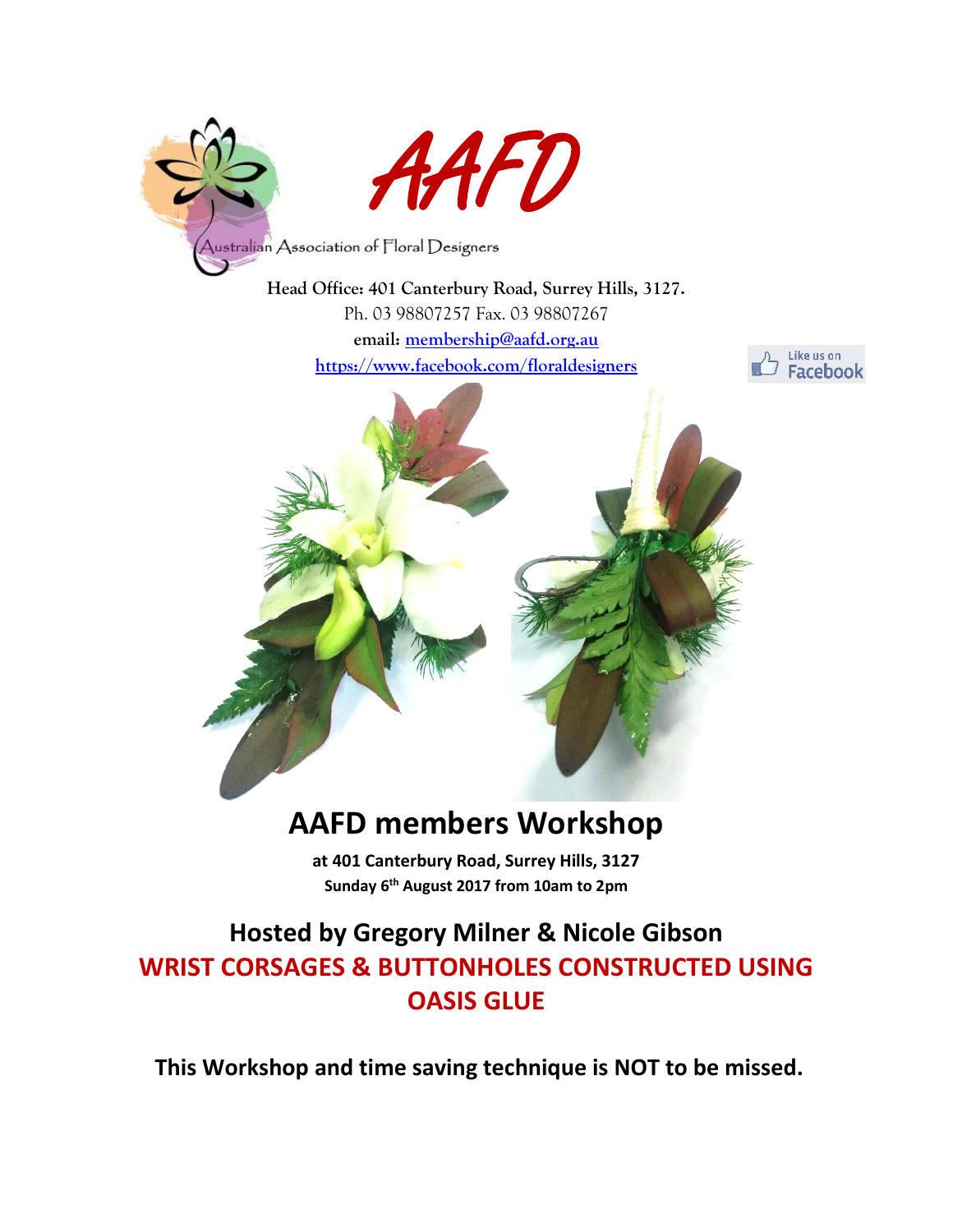

**Head Office: 401 Canterbury Road, Surrey Hills, 3127.** Ph. 03 98807257 Fax. 03 98807267 **email: [membership@aafd.org.au](mailto:membership@aafd.org.au)**

**<https://www.facebook.com/floraldesigners>**





# **AAFD members Workshop**

**at 401 Canterbury Road, Surrey Hills, 3127 Sunday 6 th August 2017 from 10am to 2pm**

## **Hosted by Gregory Milner & Nicole Gibson WRIST CORSAGES & BUTTONHOLES CONSTRUCTED USING OASIS GLUE**

**This Workshop and time saving technique is NOT to be missed.**